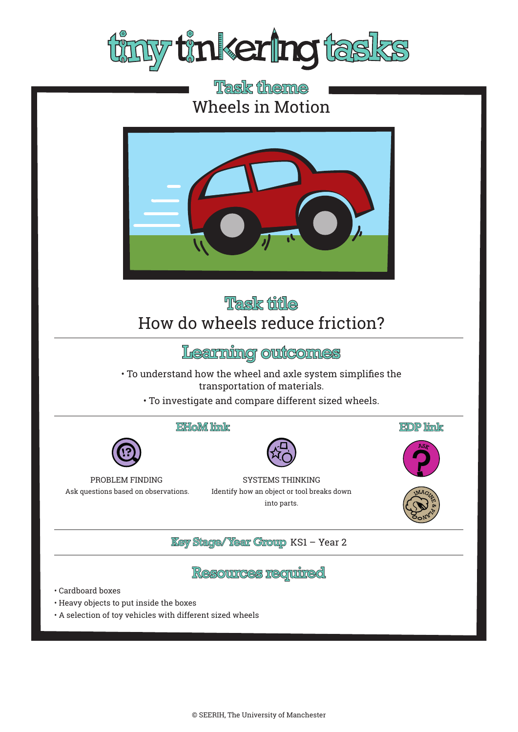

# **Task theme** Wheels in Motion



# **Task title** How do wheels reduce friction?

## Learning outcomes

• To understand how the wheel and axle system simplifies the transportation of materials.

• To investigate and compare different sized wheels.

### EHoM link



PROBLEM FINDING Ask questions based on observations.

SYSTEMS THINKING Identify how an object or tool breaks down into parts.







**Key Stage/Year Group KS1 - Year 2** 

## **Resources required**

- Cardboard boxes
- Heavy objects to put inside the boxes
- A selection of toy vehicles with different sized wheels